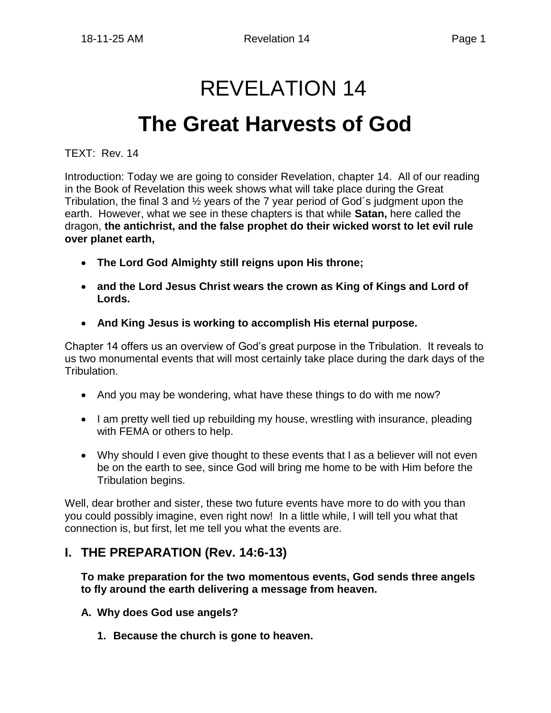# REVELATION 14

# **The Great Harvests of God**

TEXT: Rev. 14

Introduction: Today we are going to consider Revelation, chapter 14. All of our reading in the Book of Revelation this week shows what will take place during the Great Tribulation, the final 3 and ½ years of the 7 year period of God´s judgment upon the earth. However, what we see in these chapters is that while **Satan,** here called the dragon, **the antichrist, and the false prophet do their wicked worst to let evil rule over planet earth,**

- **The Lord God Almighty still reigns upon His throne;**
- **and the Lord Jesus Christ wears the crown as King of Kings and Lord of Lords.**
- **And King Jesus is working to accomplish His eternal purpose.**

Chapter 14 offers us an overview of God's great purpose in the Tribulation. It reveals to us two monumental events that will most certainly take place during the dark days of the Tribulation.

- And you may be wondering, what have these things to do with me now?
- I am pretty well tied up rebuilding my house, wrestling with insurance, pleading with FEMA or others to help.
- Why should I even give thought to these events that I as a believer will not even be on the earth to see, since God will bring me home to be with Him before the Tribulation begins.

Well, dear brother and sister, these two future events have more to do with you than you could possibly imagine, even right now! In a little while, I will tell you what that connection is, but first, let me tell you what the events are.

### **I. THE PREPARATION (Rev. 14:6-13)**

**To make preparation for the two momentous events, God sends three angels to fly around the earth delivering a message from heaven.** 

- **A. Why does God use angels?**
	- **1. Because the church is gone to heaven.**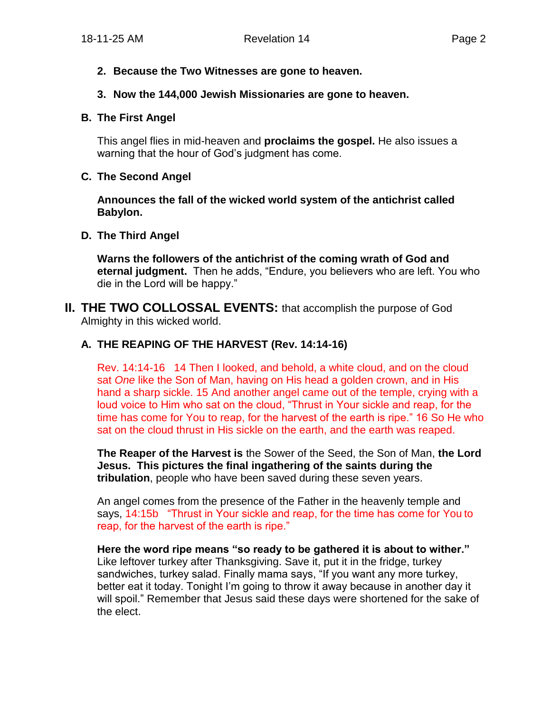#### **2. Because the Two Witnesses are gone to heaven.**

#### **3. Now the 144,000 Jewish Missionaries are gone to heaven.**

#### **B. The First Angel**

This angel flies in mid-heaven and **proclaims the gospel.** He also issues a warning that the hour of God's judgment has come.

#### **C. The Second Angel**

**Announces the fall of the wicked world system of the antichrist called Babylon.**

#### **D. The Third Angel**

**Warns the followers of the antichrist of the coming wrath of God and eternal judgment.** Then he adds, "Endure, you believers who are left. You who die in the Lord will be happy."

**II. THE TWO COLLOSSAL EVENTS:** that accomplish the purpose of God Almighty in this wicked world.

#### **A. THE REAPING OF THE HARVEST (Rev. 14:14-16)**

Rev. 14:14-16 14 Then I looked, and behold, a white cloud, and on the cloud sat *One* like the Son of Man, having on His head a golden crown, and in His hand a sharp sickle. 15 And another angel came out of the temple, crying with a loud voice to Him who sat on the cloud, "Thrust in Your sickle and reap, for the time has come for You to reap, for the harvest of the earth is ripe." 16 So He who sat on the cloud thrust in His sickle on the earth, and the earth was reaped.

**The Reaper of the Harvest is** the Sower of the Seed, the Son of Man, **the Lord Jesus. This pictures the final ingathering of the saints during the tribulation**, people who have been saved during these seven years.

An angel comes from the presence of the Father in the heavenly temple and says, 14:15b "Thrust in Your sickle and reap, for the time has come for You to reap, for the harvest of the earth is ripe."

**Here the word ripe means "so ready to be gathered it is about to wither."** Like leftover turkey after Thanksgiving. Save it, put it in the fridge, turkey sandwiches, turkey salad. Finally mama says, "If you want any more turkey, better eat it today. Tonight I'm going to throw it away because in another day it will spoil." Remember that Jesus said these days were shortened for the sake of the elect.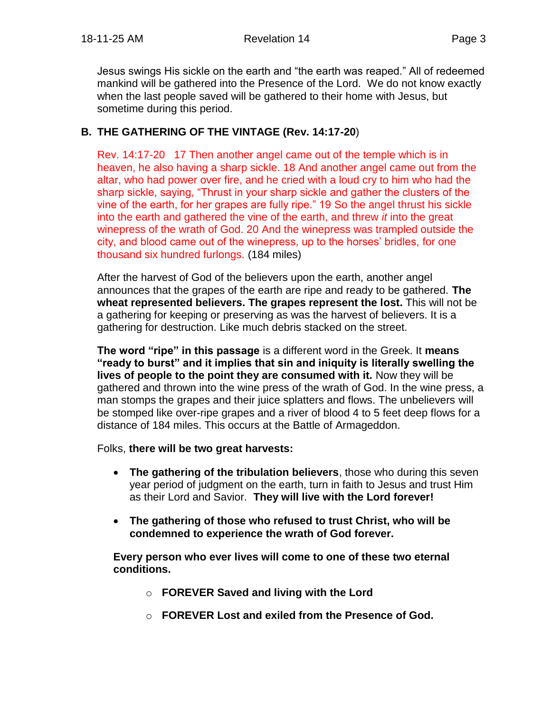Jesus swings His sickle on the earth and "the earth was reaped." All of redeemed mankind will be gathered into the Presence of the Lord. We do not know exactly when the last people saved will be gathered to their home with Jesus, but sometime during this period.

#### **B. THE GATHERING OF THE VINTAGE (Rev. 14:17-20**)

Rev. 14:17-20 17 Then another angel came out of the temple which is in heaven, he also having a sharp sickle. 18 And another angel came out from the altar, who had power over fire, and he cried with a loud cry to him who had the sharp sickle, saying, "Thrust in your sharp sickle and gather the clusters of the vine of the earth, for her grapes are fully ripe." 19 So the angel thrust his sickle into the earth and gathered the vine of the earth, and threw *it* into the great winepress of the wrath of God. 20 And the winepress was trampled outside the city, and blood came out of the winepress, up to the horses' bridles, for one thousand six hundred furlongs. (184 miles)

After the harvest of God of the believers upon the earth, another angel announces that the grapes of the earth are ripe and ready to be gathered. **The wheat represented believers. The grapes represent the lost.** This will not be a gathering for keeping or preserving as was the harvest of believers. It is a gathering for destruction. Like much debris stacked on the street.

**The word "ripe" in this passage** is a different word in the Greek. It **means "ready to burst" and it implies that sin and iniquity is literally swelling the lives of people to the point they are consumed with it.** Now they will be gathered and thrown into the wine press of the wrath of God. In the wine press, a man stomps the grapes and their juice splatters and flows. The unbelievers will be stomped like over-ripe grapes and a river of blood 4 to 5 feet deep flows for a distance of 184 miles. This occurs at the Battle of Armageddon.

Folks, **there will be two great harvests:**

- **The gathering of the tribulation believers**, those who during this seven year period of judgment on the earth, turn in faith to Jesus and trust Him as their Lord and Savior. **They will live with the Lord forever!**
- **The gathering of those who refused to trust Christ, who will be condemned to experience the wrath of God forever.**

**Every person who ever lives will come to one of these two eternal conditions.**

- o **FOREVER Saved and living with the Lord**
- o **FOREVER Lost and exiled from the Presence of God.**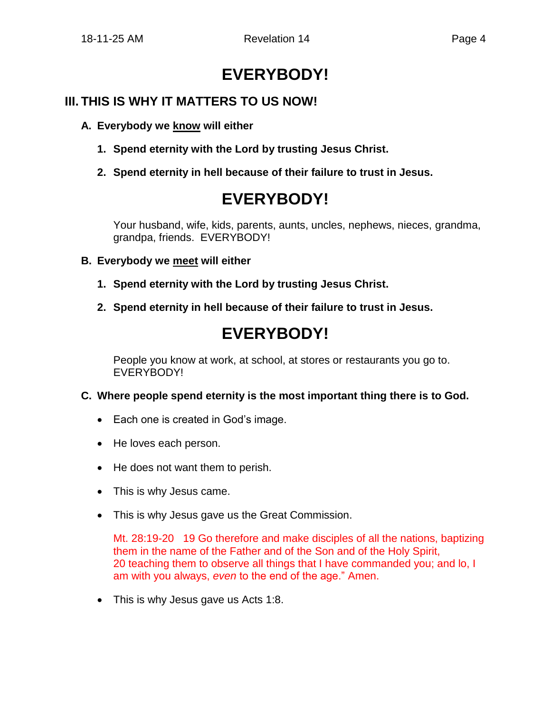## **EVERYBODY!**

### **III. THIS IS WHY IT MATTERS TO US NOW!**

- **A. Everybody we know will either**
	- **1. Spend eternity with the Lord by trusting Jesus Christ.**
	- **2. Spend eternity in hell because of their failure to trust in Jesus.**

## **EVERYBODY!**

Your husband, wife, kids, parents, aunts, uncles, nephews, nieces, grandma, grandpa, friends. EVERYBODY!

#### **B. Everybody we meet will either**

- **1. Spend eternity with the Lord by trusting Jesus Christ.**
- **2. Spend eternity in hell because of their failure to trust in Jesus.**

## **EVERYBODY!**

People you know at work, at school, at stores or restaurants you go to. EVERYBODY!

#### **C. Where people spend eternity is the most important thing there is to God.**

- Each one is created in God's image.
- He loves each person.
- He does not want them to perish.
- This is why Jesus came.
- This is why Jesus gave us the Great Commission.

Mt. 28:19-20 19 Go therefore and make disciples of all the nations, baptizing them in the name of the Father and of the Son and of the Holy Spirit, 20 teaching them to observe all things that I have commanded you; and lo, I am with you always, *even* to the end of the age." Amen.

• This is why Jesus gave us Acts 1:8.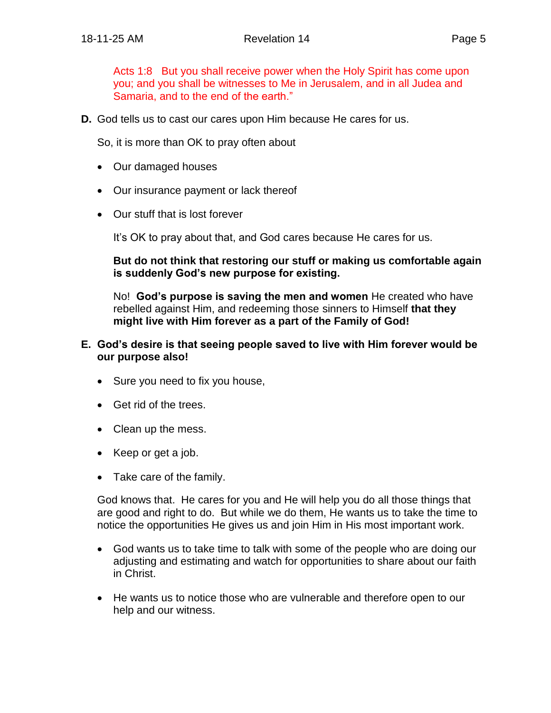Acts 1:8 But you shall receive power when the Holy Spirit has come upon you; and you shall be witnesses to Me in Jerusalem, and in all Judea and Samaria, and to the end of the earth."

**D.** God tells us to cast our cares upon Him because He cares for us.

So, it is more than OK to pray often about

- Our damaged houses
- Our insurance payment or lack thereof
- Our stuff that is lost forever

It's OK to pray about that, and God cares because He cares for us.

**But do not think that restoring our stuff or making us comfortable again is suddenly God's new purpose for existing.**

No! **God's purpose is saving the men and women** He created who have rebelled against Him, and redeeming those sinners to Himself **that they might live with Him forever as a part of the Family of God!**

#### **E. God's desire is that seeing people saved to live with Him forever would be our purpose also!**

- Sure you need to fix you house,
- Get rid of the trees.
- Clean up the mess.
- Keep or get a job.
- Take care of the family.

God knows that. He cares for you and He will help you do all those things that are good and right to do. But while we do them, He wants us to take the time to notice the opportunities He gives us and join Him in His most important work.

- God wants us to take time to talk with some of the people who are doing our adjusting and estimating and watch for opportunities to share about our faith in Christ.
- He wants us to notice those who are vulnerable and therefore open to our help and our witness.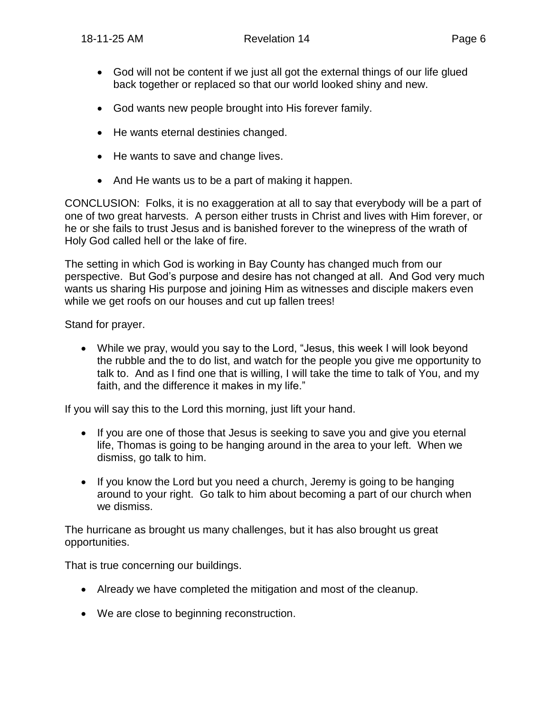- God will not be content if we just all got the external things of our life glued back together or replaced so that our world looked shiny and new.
- God wants new people brought into His forever family.
- He wants eternal destinies changed.
- He wants to save and change lives.
- And He wants us to be a part of making it happen.

CONCLUSION: Folks, it is no exaggeration at all to say that everybody will be a part of one of two great harvests. A person either trusts in Christ and lives with Him forever, or he or she fails to trust Jesus and is banished forever to the winepress of the wrath of Holy God called hell or the lake of fire.

The setting in which God is working in Bay County has changed much from our perspective. But God's purpose and desire has not changed at all. And God very much wants us sharing His purpose and joining Him as witnesses and disciple makers even while we get roofs on our houses and cut up fallen trees!

Stand for prayer.

• While we pray, would you say to the Lord, "Jesus, this week I will look beyond the rubble and the to do list, and watch for the people you give me opportunity to talk to. And as I find one that is willing, I will take the time to talk of You, and my faith, and the difference it makes in my life."

If you will say this to the Lord this morning, just lift your hand.

- If you are one of those that Jesus is seeking to save you and give you eternal life, Thomas is going to be hanging around in the area to your left. When we dismiss, go talk to him.
- If you know the Lord but you need a church, Jeremy is going to be hanging around to your right. Go talk to him about becoming a part of our church when we dismiss.

The hurricane as brought us many challenges, but it has also brought us great opportunities.

That is true concerning our buildings.

- Already we have completed the mitigation and most of the cleanup.
- We are close to beginning reconstruction.